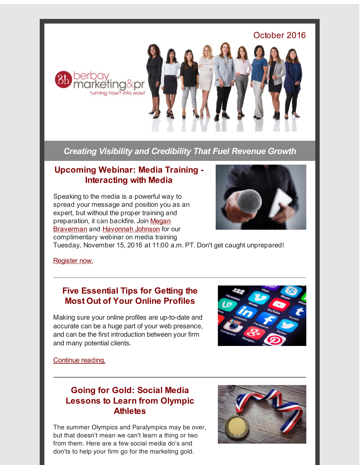

*Creating Visibility and Credibility That Fuel Revenue Growth*

### **Upcoming Webinar: Media Training - Interacting with Media**

Speaking to the media is a powerful way to spread your message and position you as an expert, but without the proper training and [preparation,](http://r20.rs6.net/tn.jsp?f=001E8b1XnJ3zmnT4nXqDnUFmhFuOfEZAVuxvY0B6yjHmYnNdXiXK1PFurkUt9HOj3qQc6VkE9sCHMAUeZ5su8pV3U1zKkpBYSMveQe7KzxwQU5i9VQakWpG3l8hIV6Y8tew29SYlsry2kzMagofqX_bw7jy1HM0-zfGgQDgUbZGIbVWi_tJsbb29veu5WTx9pE77dV51r8Fd4XgH9e3Afg2GcQSP0-vqdcC&c=&ch=) it can backfire. Join Megan **Braverman and [Havonnah](http://r20.rs6.net/tn.jsp?f=001E8b1XnJ3zmnT4nXqDnUFmhFuOfEZAVuxvY0B6yjHmYnNdXiXK1PFulHVXT20TxSd-fo2tL7iFoVmP0vmtuaSSKsziuPdN4aduvCHn-5Lr6lqDgPaaCA9oatJmFKyTP8M_GW-9q8TjHxCoVkIOOmq9b9vnC_YlulyveN1ERzsfczXGW06j-rdT91fOIXypcqKQUpln4WBD8Re1zkjwJmTk9lPjoDxVc2S&c=&ch=) Johnson for our** complimentary webinar on media training



Tuesday, November 15, 2016 at 11:00 a.m. PT. Don't get caught unprepared!

[Register](http://r20.rs6.net/tn.jsp?f=001E8b1XnJ3zmnT4nXqDnUFmhFuOfEZAVuxvY0B6yjHmYnNdXiXK1PFulHVXT20TxSdWrHINZO8H5OsBxoIYsQd7kmhx2tJvTOEBRe5W77vPAsxvzrW7dWT7iWufWYV7wPY1H0MjkLXY7HgptfdEGFBk-ZE9wCdu9SHCYkg_mWYnckgBFC9TDiEFs9n82Egld0akHIBrmfoM-AGyP8NNKq0mNR9h9CbDIj6&c=&ch=) now.

#### **Five Essential Tips for Getting the Most Out of Your Online Profiles**

Making sure your online profiles are up-to-date and accurate can be a huge part of your web presence, and can be the first introduction between your firm and many potential clients.



[Continue](http://r20.rs6.net/tn.jsp?f=001E8b1XnJ3zmnT4nXqDnUFmhFuOfEZAVuxvY0B6yjHmYnNdXiXK1PFugNQvvptw1YlAUXo_VV93SvR184Cfon4sCMuLbBdlWY2pm2oTYz-xAYYQW2egSYdDfqdo2w4a_L82g1TggLniKKEEuziTIQCpTz2-FYq-gnsyu4tlPIUTefOomTPb78e8RA3aMb-P-oprN9iAfK_i1BT7smNAh7kl_TffMa92-ZVhDtb9QDE73w=&c=&ch=) reading.

# **Going for Gold: Social Media Lessons to Learn from Olympic Athletes**

The summer Olympics and Paralympics may be over, but that doesn't mean we can't learn a thing or two from them. Here are a few social media do's and don'ts to help your firm go for the marketing gold.